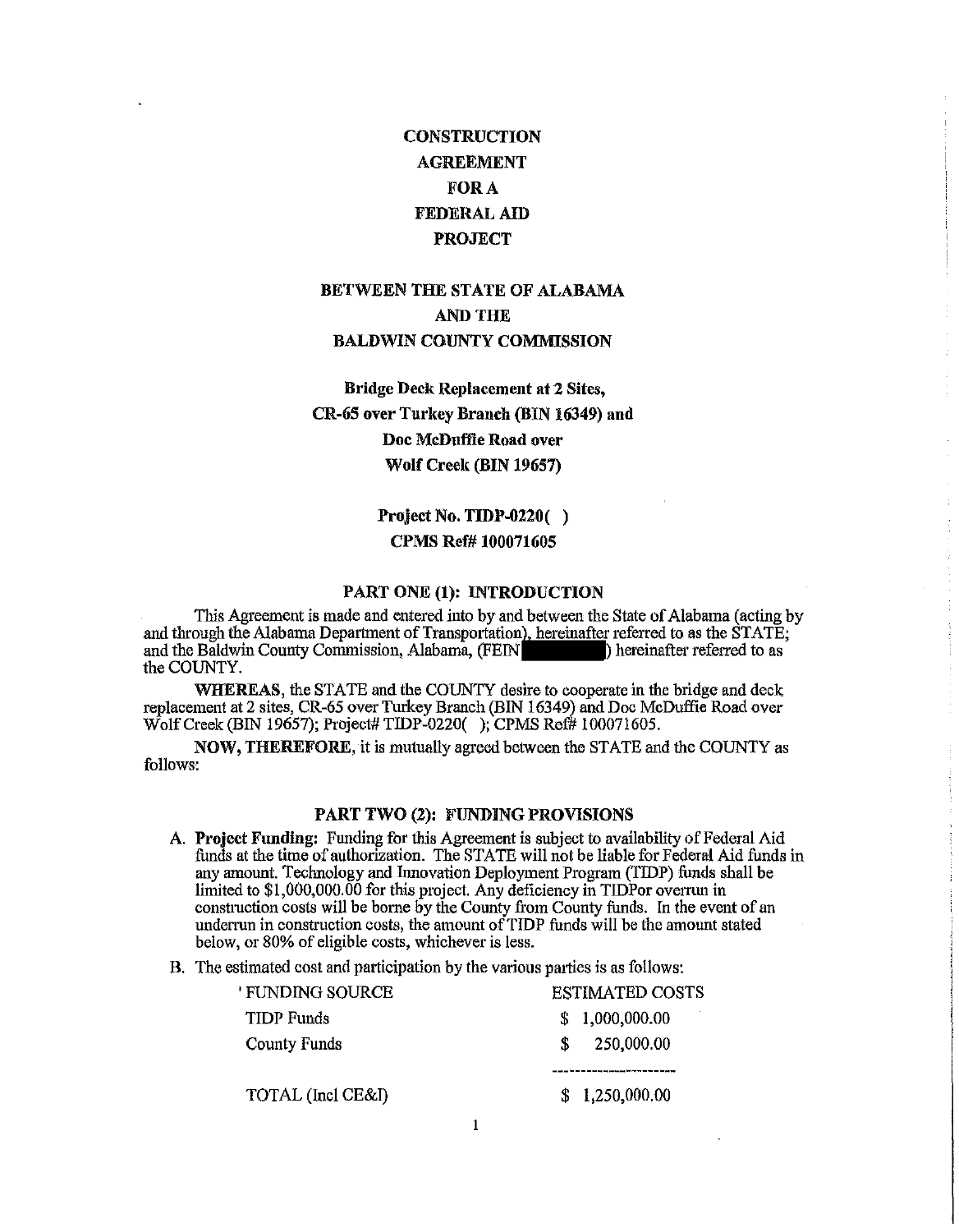# **CONSTRUCTION** AGREEMENT FORA FEDERAL AID PROJECT

## BETWEEN THE STATE OF ALABAMA AND THE BALDWIN COUNTY COMMISSION

**Bridge Deck Replacement at 2 Sites, CR-65 over Turkey Branch (BIN 16349) and Doc McDuffie Road over Wolf Creek (BIN 19657)** 

> **Project No, TIDP-0220(** ) **CPMS Ref# 100071605**

#### **PART ONE (1): INTRODUCTION**

This Agreement is made and entered into by and between the State of Alabama (acting by and through the Alabama Department of Transportation), hereinafter referred to as the STATE; and the Baldwin County Commission, Alabama, (FEIN ) hereinafter referred to as the COUNTY.

WHEREAS, the STATE and the COUNTY desire to cooperate in the bridge and deck replacement at 2 sites, CR-65 over Turkey Branch (BIN 16349) and Doc McDuffie Road over Wolf Creek (BIN 19657); Project# TIDP-0220(); CPMS Ref# 100071605.

**NOW, THEREFORE,** it is mutually agreed between the STATE and the COUNTY as follows:

#### **PART TWO (2): FUNDING PROVISIONS**

- A. **Project Funding:** Funding for this Agreement is subject to availability of Federal Aid funds at the time of authorization. The STATE will not be liable for Federal Aid funds in any amount. Technology and Innovation Deployment Program (TIDP) funds shall be limited to \$1,000,000.00 for this project. Any deficiency in TIDPor overrun in constmction costs will be borne by the County from County funds. In the event of an underrun in construction costs, the amount of TIDP funds will be the amount stated below, or 80% of eligible costs, whichever is less.
- B. The estimated cost and participation by the various parties is as follows:

| ' FUNDING SOURCE    | <b>ESTIMATED COSTS</b> |
|---------------------|------------------------|
| <b>TIDP</b> Funds   | \$1,000,000.00         |
| <b>County Funds</b> | 250,000.00<br>S.       |
|                     |                        |
| TOTAL (Incl CE&I)   | \$1,250,000.00         |

 $\mathbf{1}$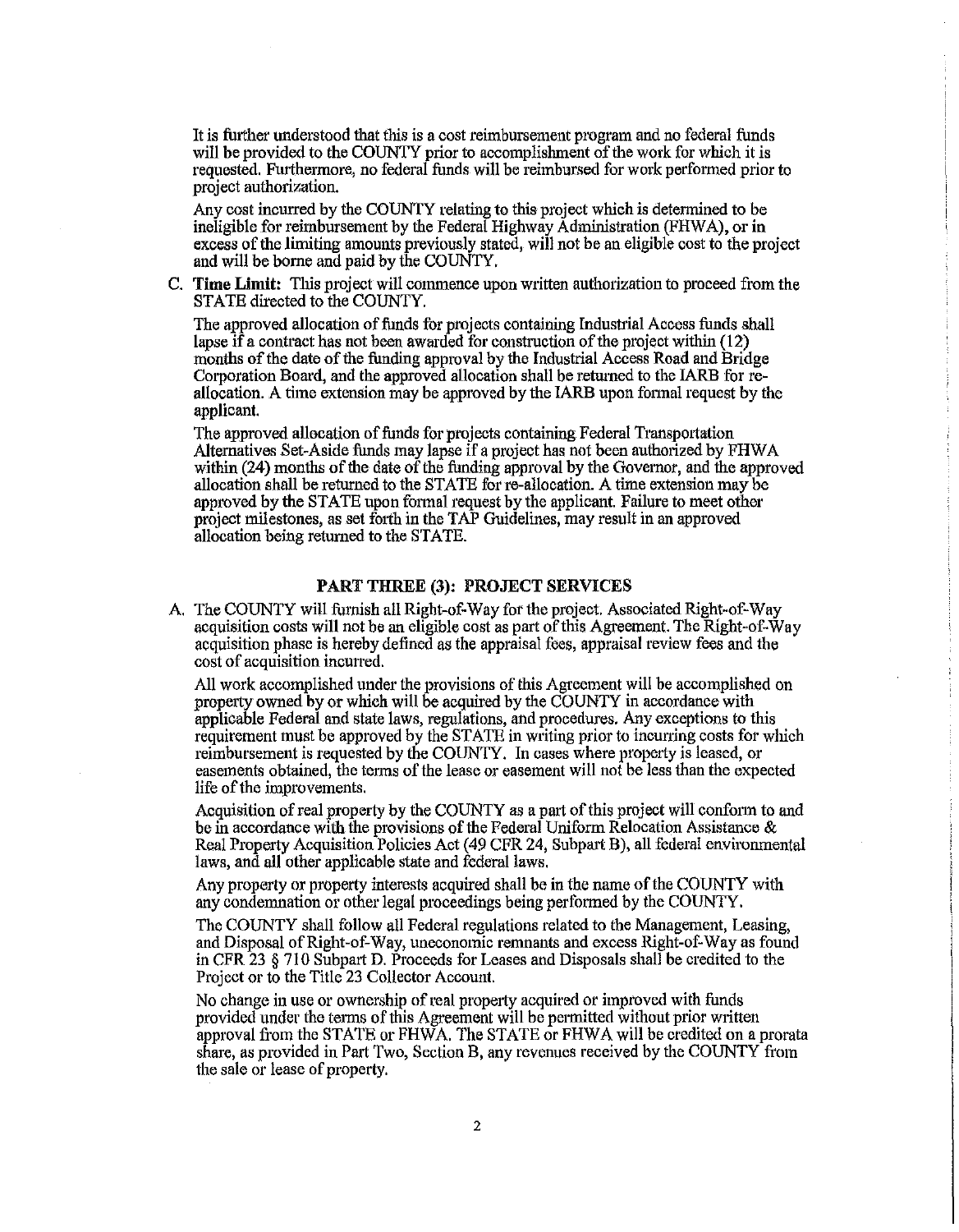It is further understood that this is a cost reimbursement program and no federal funds will be provided to the COUNTY prior to accomplishment of the work for which it is requested. Furthermore, no federal funds will be reimbursed for work performed prior to project authorization.

Any cost incurred by the COUNTY relating to this project which is determined to be ineligible for reimbursement by the Federal Highway Administration (FHW A), or **in**  excess of the limiting amounts previously stated, will not be an eligible cost to the project and will be borne and paid by the COUNTY.

C. **Time Limit:** This project will commence upon written authorization to proceed from the STATE directed to the COUNTY.

The approved allocation of funds for projects containing Industrial Access funds shall lapse if a contract has not been awarded for construction of the project within (12) months of the date of the funding approval by the Industrial Access Road and Bridge Corporation Board, and the approved allocation shall be returned to the IARB for reallocation. A time extension may be approved by the IARB upon fonnal request by the applicant.

The approved allocation of funds for projects containing Federal Transportation Alternatives Set-Aside funds may lapse if a project has not been authorized by FHW A within (24) months of the date of the funding approval by the Governor, and the approved allocation shall be returned to the STA TE for re-allocation. A time extension may be approved by the STATE upon formal request by the applicant. Failure to meet other project milestones, as set forth in the TAP Guidelines, may result in an approved allocation being returned to the STATE.

## **PART THREE (3): PROJECT SERVICES**

A. The COUNTY will furnish all Right-of-Way for the project. Associated Right-of-Way acquisition costs will not be an eligible cost as part of this Agreement. The Right-of-Way acquisition phase is hereby defined as the appraisal fees, appraisal review fees and the cost of acquisition incurred.

All work accomplished under the provisions of this Agreement will be accomplished on property owned by or which will be acquired by the COUNTY in accordance with applicable Federal and state laws, regulations, and procedures. Any exceptions to this requirement must be approved by the STATE in writing prior to incurring costs for which reimbursement is requested by the COUNTY. In cases where property is leased, or easements obtained, the tenns of the lease or easement will not be less than the expected life of the improvements.

Acquisition of real property by the COUNTY as a part of this project will conform to and be in accordance with the provisions of the Federal Uniform Relocation Assistance & Real Property Acquisition Policies Act (49 CFR 24, Subpart B), all federal environmental laws, and all other applicable state and federal laws.

Any property or property interests acquired shall be in the name of the COUNTY with any condemnation or other legal proceedings being performed by the COUNTY.

The COUNTY shall follow all Federal regulations related to the Management, Leasing, and Disposal of Right-of-Way, uneconomic remnants and excess Right-of-Way as found in CFR 23 § 710 Subpart D. Proceeds for Leases and Disposals shall be credited to the Project or to the Title 23 Collector Account.

No change in use or ownership of real property acquired or improved with funds provided under the terms of this Agreement will be permitted without prior written approval from the STATE or FHWA. The STATE or FHWA will be credited on a prorata share, as provided in Part Two, Section B, any revenues received by the COUNTY from the sale or lease of property.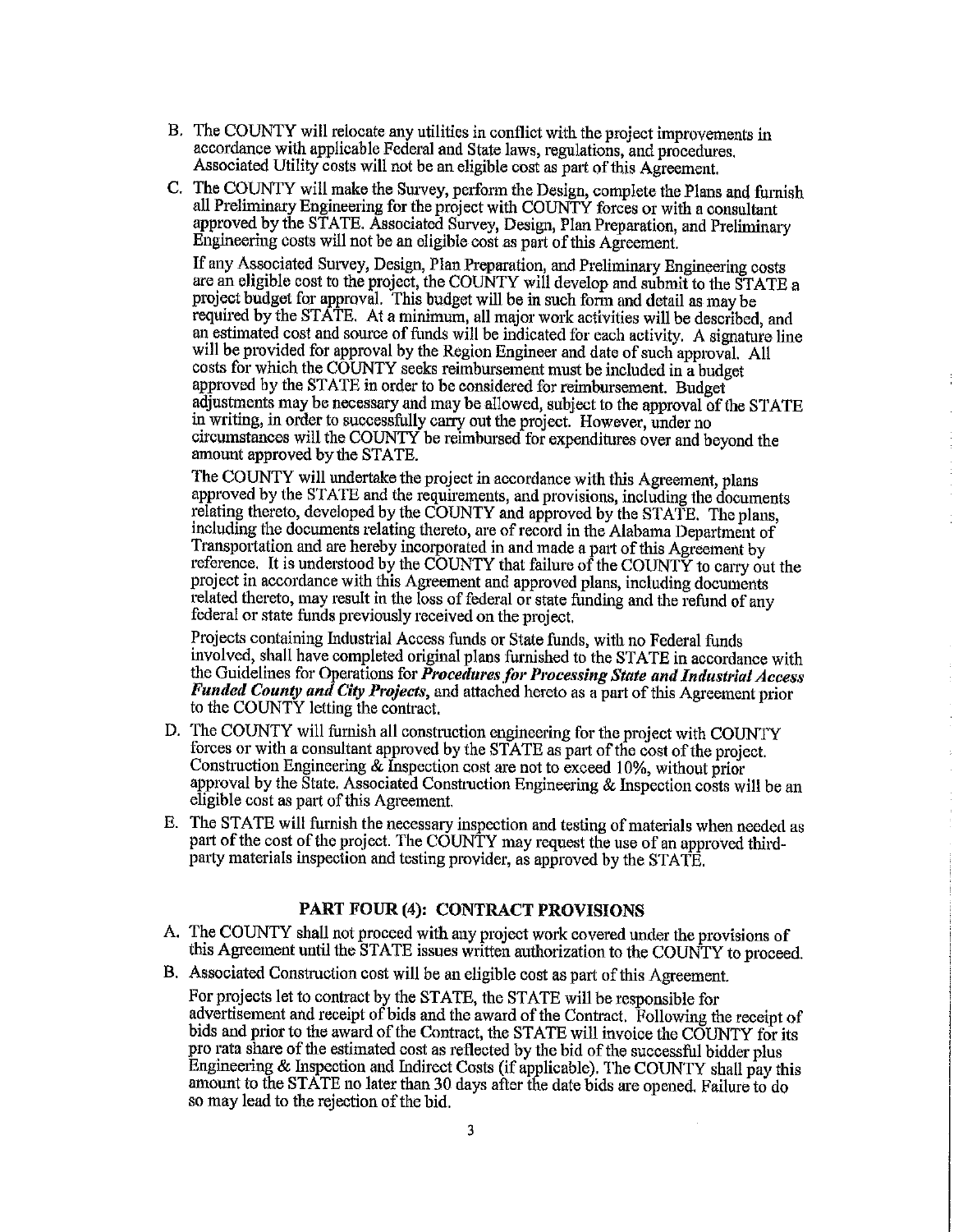- B. The COUNTY will relocate any utilities in conflict with the project improvements in accordance with applicable Federal and State laws, regulations, and procedures. Associated Utility costs will not be an eligible cost as part of this Agreement.
- C. The COUNTY will make the Survey, perfonn the Design, complete the Plans and furnish all Preliminary Engineering for the project with COUNTY forces or with a consultant approved by the STATE. Associated Survey, Design, Plan Preparation, and Preliminary Engineering costs will not be an eligible cost as part of this Agreement.

If any Associated Survey, Design, Plan Preparation, and Preliminary Engineering costs are an eligible cost to the project, the COUNTY will develop and submit to the ST ATE a project budget for approval. This budget will be in such form and detail as may be required by the STATE. At a minimum, all major work activities will be described, and an estimated cost and source of funds will be indicated for each activity. A signature line will be provided for approval by the Region Engineer and date of such approval. All costs for which the COUNTY seeks reimbursement must be included in a budget approved by the STATE in order to be considered for reimbursement. Budget adjustments may be necessary and may be allowed, subject to the approval of the STATE in writing, in order to successfully carry out the project. However, under no circumstances will the COUNTY be reimbursed for expenditures over and beyond the amount approved by the STATE.

The COUNTY will undertake the project in accordance with this Agreement, plans approved by the ST ATE and the requirements, and provisions, including the documents relating thereto, developed by the COUNTY and approved by the STATE. The plans, including the documents relating thereto, are of record in the Alabama Department of Transportation and are hereby incorporated in and made a part of this Agreement by reference. It is understood by the COUNTY that failure of the COUNTY to carry out the project in accordance with this Agreement and approved plans, including documents related thereto, may result in the loss of federal or state funding and the refund of any federal or state funds previously received on the project.

Projects containing Industrial Access funds or State funds, with no Federal funds involved, shall have completed original plans furnished to the ST ATE in accordance with the Guidelines for Operations for *Procedures for Processing State and Industrial Access Funded County and City Projects*, and attached hereto as a part of this Agreement prior to the COUNTY letting the contract.

- D. The COUNTY will furnish all construction engineering for the project with COUNTY forces or with a consultant approved by the STATE as part of the cost of the project. Construction Engineering & Inspection cost are not to exceed 10%, without prior approval by the State. Associated Construction Engineering  $\&$  Inspection costs will be an eligible cost as part of this Agreement.
- E. The STATE will furnish the necessary inspection and testing of materials when needed as part of the cost of the project. The COUNTY may request the use of an approved thirdparty materials inspection and testing provider, as approved by the STATE.

#### **PART FOUR** (4): **CONTRACT PROVISIONS**

- A. The COUNTY shall not proceed with any project work covered under the provisions of this Agreement until the STATE issues written authorization to the COUNTY to proceed.
- B. Associated Construction cost will be an eligible cost as part of this Agreement.

For projects let to contract by the STATE, the STATE will be responsible for advertisement and receipt of bids and the award of the Contract. Following the receipt of bids and prior to the award of the Contract, the STATE will invoice the COUNTY for its pro rata share of the estimated cost as reflected by the bid of the successful bidder plus Engineering & Inspection and Indirect Costs (if applicable). The COUNTY shall pay this amount to the STATE no later than 30 days after the date bids are opened. Failure to do so may lead to the rejection of the bid.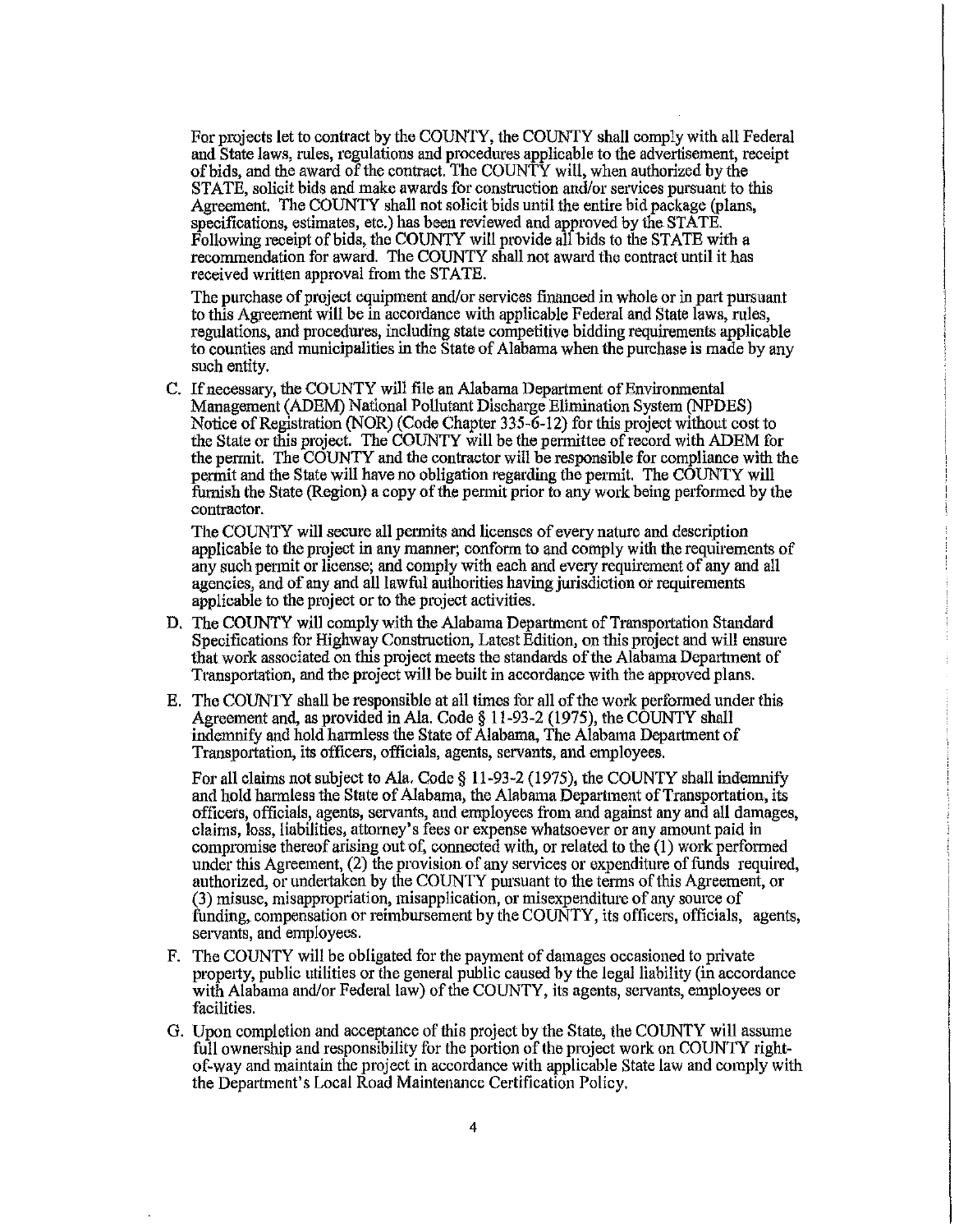For projects let to contract by the COUNTY, the COUNTY shall comply with all Federal and State laws, rules, regulations and procedures applicable to the advertisement, receipt of bids, and the award of the contract. The COUNTY will, when authorized by the STATE, solicit bids and make awards for construction and/or services pursuant to this Agreement, The COUNTY shall not solicit bids until the entire bid package (plans, specifications, estimates, etc.) has been reviewed and approved by the STATE. Following receipt of bids, the COUNTY will provide all bids to the STATE with a recommendation for award. The COUNTY shall not award the contract until it has received written approval from the STATE.

The purchase of project equipment and/or services financed in whole or in part pursuant to this Agreement will be in accordance with applicable Federal and State laws, rules, regulations, and procedures, including state competitive bidding requirements applicable to counties and municipalities in the State of Alabama when the purchase is made by any such entity.

C. If necessary, the COUNTY will file an Alabama Department of Environmental Management (ADEM) National Pollutant Discharge Elimination System (NPDES) Notice of Registration (NOR) (Code Chapter 335-6-12) for this project without cost to the State or this project. The COUNTY will be the permittee ofrecord with ADEM for the permit. The COUNTY and the contractor will be responsible for compliance with the permit and the State will have no obligation regarding the permit. The COUNTY will furnish the State (Region) a copy of the permit prior to any work being performed by the contractor.

The COUNTY will secure all permits and licenses of every nature and description applicable to the project in any manner; conform to and comply with the requirements of any such permit or license; and comply with each and every requirement of any and all agencies, and of any and all lawful authorities having jurisdiction or requirements applicable to the project or to the project activities.

- D. The COUNTY will comply with the Alabama Department of Transportation Standard Specifications for Highway Construction, Latest Edition, on this project and will ensure that work associated on this project meets the standards of the Alabama Department of Transportation, and the project will be built in accordance with the approved plans.
- E. The COUNTY shall be responsible at all times for all of the work performed under this Agreement and, as provided in Ala. Code§ 11-93-2 (1975), the COUNTY shall indemnify and hold harmless the State of Alabama, The Alabama Department of Transportation, its officers, officials, agents, servants, and employees.

For all claims not subject to Ala. Code§ 11-93-2 (1975), the COUNTY shall indemnify and hold harmless the State of Alabama, the Alabama Department of Transportation, its officers, officials, agents, servants, and employees from and against any and all damages, claims, loss, liabilities, attorney's fees or expense whatsoever or any amount paid in compromise thereof arising out of, connected with, or related to the  $(1)$  work performed under this Agreement, (2) the provision of any services or expenditure of funds required, authorized, or undertaken by the COUNTY pursuant to the terms of this Agreement, or (3) misuse, misappropriation, misapplication, or misexpenditure of any source of funding, compensation or reimbursement by the COUNTY, its officers, officials, agents, servants, and employees.

- F. The COUNTY will be obligated for the payment of damages occasioned to private property, public utilities or the general public caused by the legal liability (in accordance with Alabama and/or Federal law) of the COUNTY, its agents, servants, employees or facilities.
- G. Upon completion and acceptance of this project by the State, the COUNTY will assume full ownership and responsibility for the portion of the project work on COUNTY rightof-way and maintain the project in accordance with applicable State law and comply with the Department's Local Road Maintenance Certification Policy,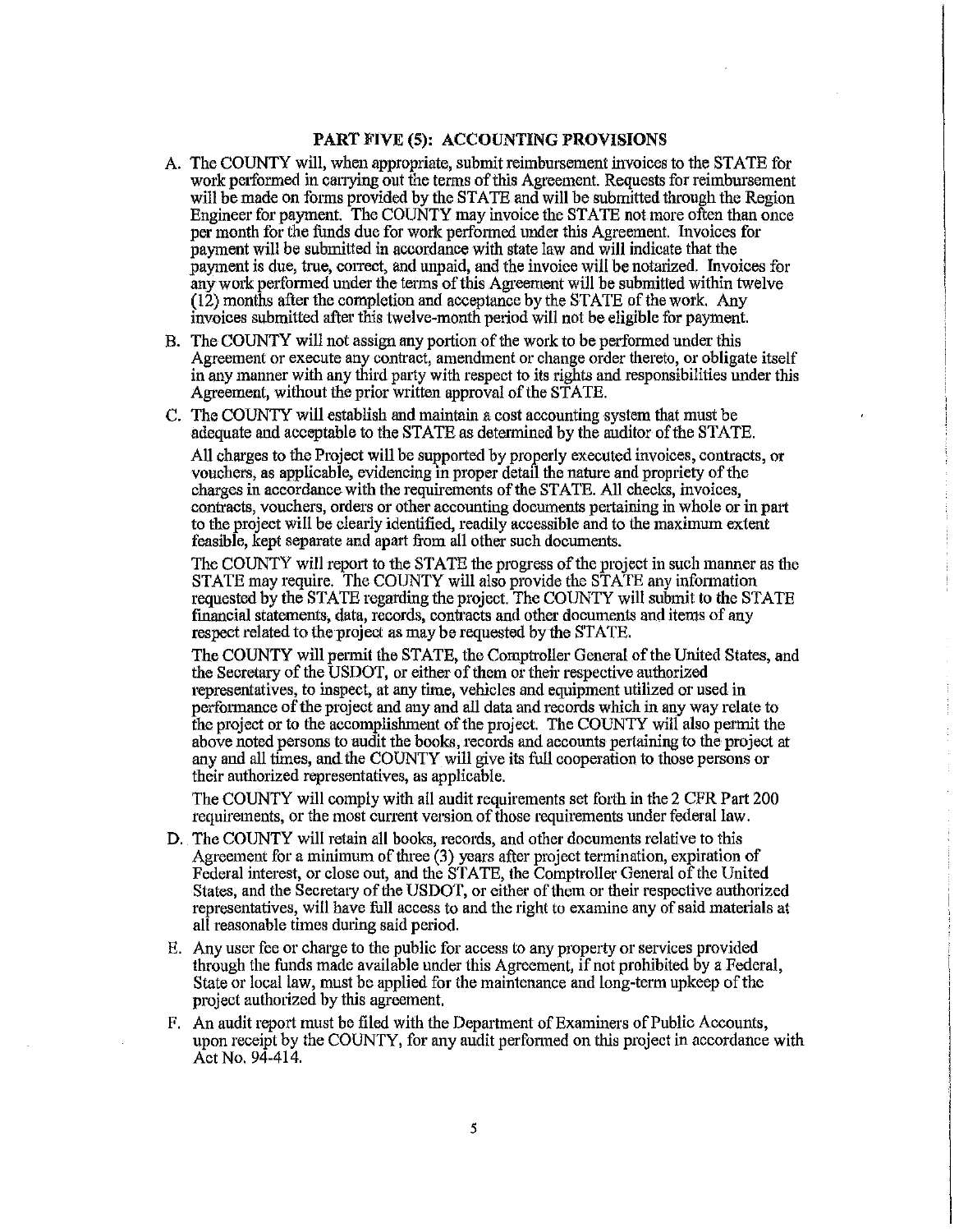#### **PART FIVE (5): ACCOUNTING PROVISIONS**

- A. The COUNTY will, when appropriate, submit reimbursement invoices to the STATE for work performed in carrying out the terms of this Agreement. Requests for reimbursement will be made on forms provided by the STATE and will be submitted through the Region Engineer for payment. The COUNTY may invoice the STA TE not more often than once per month for the funds due for work performed under this Agreement. Invoices for payment will be submitted in accordance with state law and will indicate that the payment is due, true, correct, and unpaid, and the invoice will be notarized. Invoices for any work performed under the terms of this Agreement will be submitted within twelve (12) months after the completion and acceptance by the STATE of the work. Any invoices submitted after this twelve-month period will not be eligible for payment.
- B. The COUNTY will not assign any portion of the work to be performed under this Agreement or execute any contract, amendment or change order thereto, or obligate itself in any manner with any third party with respect to its rights and responsibilities under this Agreement, without the prior written approval of the STATE.
- C. The COUNTY will establish and maintain a cost accounting system that must be adequate and acceptable to the STATE as determined by the auditor of the STATE.

All charges to the Project will be supported by properly executed invoices, contracts, or vouchers, as applicable, evidencing m proper detail the nature and propriety of the charges in accordance with the requirements of the STATE. All checks, invoices, contracts, vouchers, orders or other accounting documents pertaining in whole or in part to the project will be clearly identified, readily accessible and to the maximum extent feasible, kept separate and apart from all other such documents.

The COUNTY will report to the STATE the progress of the project in such manner as the STATE may require. The COUNTY will also provide the STATE any information requested by the STATE regarding the project. The COUNTY will submit to the STATE financial statements, data, records, contracts and other documents and items of any respect related to the project as may be requested by the STATE.

The COUNTY will permit the STATE, the Comptroller General of the United States, and the Secretary of the USDOT, or either of them or their respective authorized representatives, to inspect, at any time, vehicles and equipment utilized or used in performance of the project and any and all data and records which in any way relate to the project or to the accomplishment of the project. The COUNTY will also pennit the above noted persons to audit the books, records and accounts pertaining to the project at any and all times, and the COUNTY will give its full cooperation to those persons or their authorized representatives, as applicable.

The COUNTY will comply with all audit requirements set forth in the 2 CFR Part 200 requirements, or the most current version of those requirements under federal law.

- D. The COUNTY will retain all books, records, and other documents relative to this Agreement for a minimum of three (3) years after project termination, expiration of Federal interest, or close out, and the STATE, the Comptroller General of the United States, and the Secretary of the USDOT, or either of them or their respective authorized representatives, will have full access to and the right to examine any of said materials at all reasonable times during said period.
- E. Any user fee or charge to the public for access to any property or services provided through the funds made available under this Agreement, if not prohibited by a Federal, State or local law, must be applied for the maintenance and long-term upkeep of the project authorized by this agreement.
- F. An audit report must be filed with the Department of Examiners of Public Accounts, upon receipt by the COUNTY, for any audit perfonned on this project in accordance with Act No. 94-414.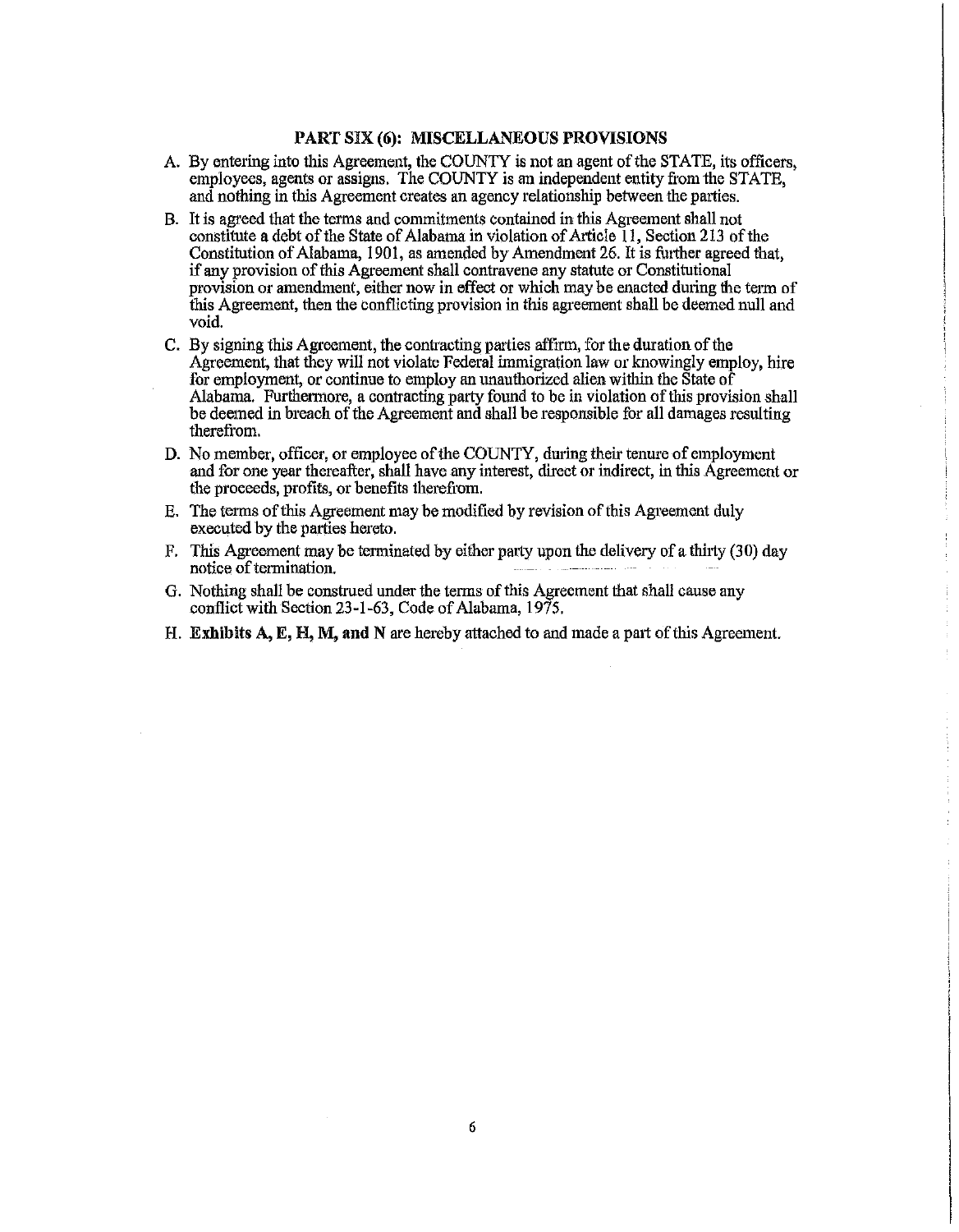### **PART SIX (6): MISCELLANEOUS PROVISIONS**

- A. By entering into this Agreement, the COUNTY is not an agent of the STATE, its officers, employees, agents or assigns. The COUNTY is an independent entity from the STATE, and nothing in this Agreement creates an agency relationship between the patties.
- B. It is agreed that the terms and commitments contained in this Agreement shall not constitute a debt of the State of Alabama in violation of Article 11, Section 213 of the Constitution of Alabama, 1901, as amended by Amendment 26. It is further agreed that, if any provision of this Agreement shall contravene any statute or Constitutional provision or amendment, either now in effect or which may be enacted during the term of this Agreement, then the conflicting provision in this agreement shall be deemed null and void.
- C. By signing this Agreement, the contracting parties affum, for the duration of the Agreement, that they will not violate Federal inrmigration law or knowingly employ, hire for employment, or continue to employ an unauthorized alien within the State of Alabama. Furthermore, a contracting patty found to be in violation of this provision shall be deemed in breach of the Agreement and shall be responsible for all damages resulting therefrom.
- D. No member, officer, or employee of the COUNTY, during their tenure of employment and for one year thereafter, shall have any interest, direct or indirect, in this Agreement or the proceeds, profits, or benefits therefrom.
- E. The terms of this Agreement may be modified by revision of this Agreement duly executed by the parties hereto.
- F. This Agreement may be terminated by either party upon the delivery of a thirty  $(30)$  day notice of tennination.
- G. Nothing shall be construed under the terms of this Agreement that shall cause any conflict with Section 23-1-63, Code of Alabama, 1975.
- H. **Exhibits A, E,** H, **M, and N** are hereby attached to and made a part of this Agreement.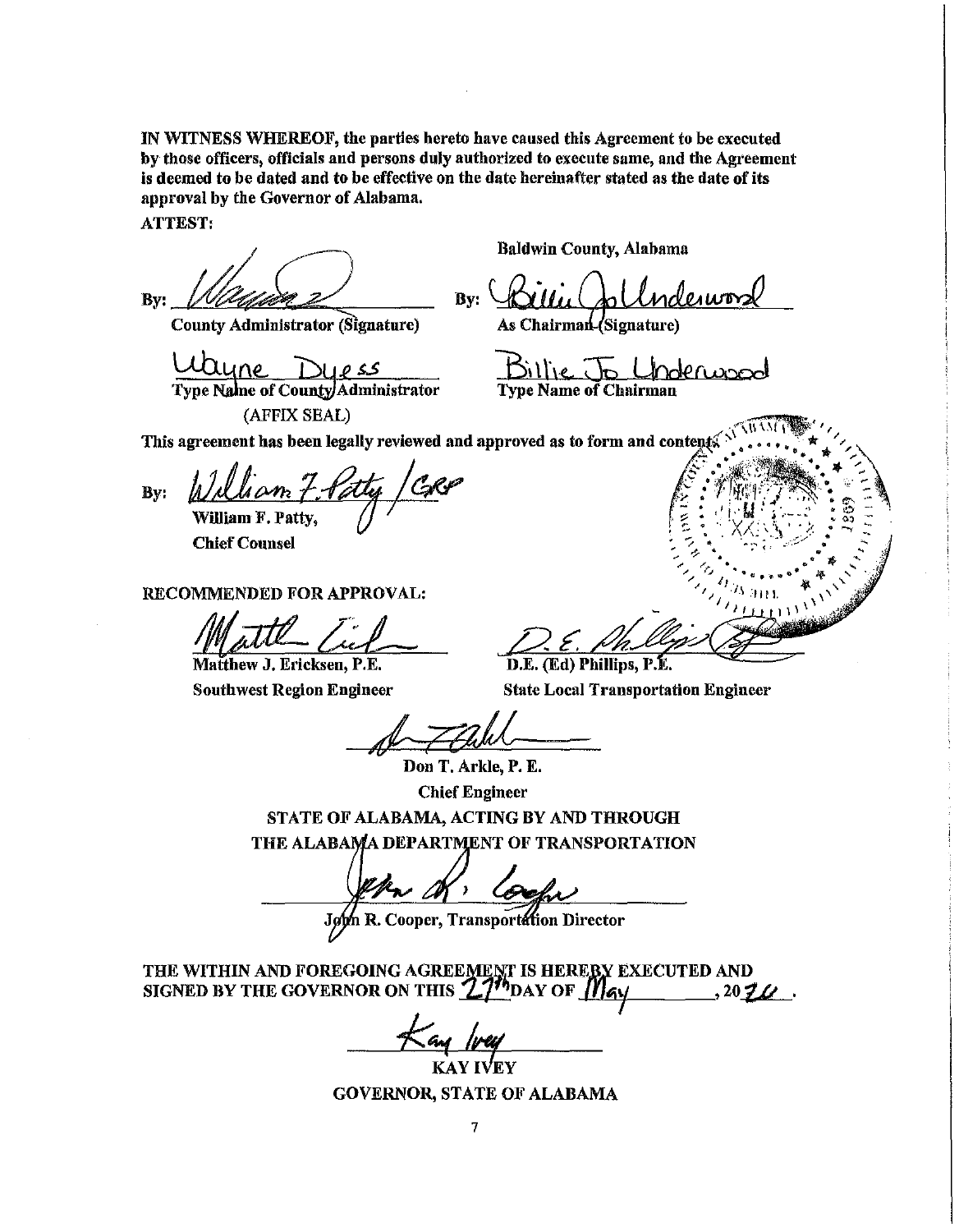IN WITNESS WHEREOF, the parties hereto have caused this Agreement to be executed by those officers, officials and persons duly authorized to execute same, and the Agreement is deemed to be dated and to be effective on the date hereinafter stated as the date **of** its approval by the Governor of Alabama.

ATTEST:

By: *Magging 2*<br>County Administrator (Signature)

(AFFIX SEAL) . ~-•• , *·(\\\* \\_\j \"VS' *'1* 

Baldwin County, Alabama

By: Rillie Jollndewood

As Chairman (Signature)

Librine Duess Billie <del>Jo</del> Underwood Type Name of Chairman

This agreement has been legally reviewed and approved as to form and contents  $\mathbb{R}^{\mathbb{N}}$ ,  $\mathbb{R}^{\mathbb{N}}$ ,  $\mathbb{R}^{\mathbb{N}}$ ,  $\mathbb{R}^{\mathbb{N}}$ ,  $\mathbb{R}^{\mathbb{N}}$ ,  $\mathbb{R}^{\mathbb{N}}$ ,  $\mathbb{R}^{\mathbb{N}}$ ,  $\mathbb{R}^{\mathbb{N}}$ ,  $\mathbb{R}$ 

 $By: 11$  diam 7 faty / GRP  $\begin{array}{ccc} \mathbb{R} & \mathbb{R}^3 & \mathbb{R}^3 \rightarrow \mathbb{R}^3 \rightarrow \mathbb{R}^3 \rightarrow \mathbb{R}^3 \rightarrow \mathbb{R}^3 \rightarrow \mathbb{R}^3 \rightarrow \mathbb{R}^3 \rightarrow \mathbb{R}^3 \rightarrow \mathbb{R}^3 \rightarrow \mathbb{R}^3 \rightarrow \mathbb{R}^3 \rightarrow \mathbb{R}^3 \rightarrow \mathbb{R}^3 \rightarrow \mathbb{R}^3 \rightarrow \mathbb{R}^3 \rightarrow \mathbb{R}^3 \rightarrow \mathbb{R}^3 \rightarrow$ 

**MMENDED FOR APPROVAL:**<br>Matthew J. Ericksen, P.E.

Matthew J. Ericksen, P.E.

William F. Patty,  $\bigcup'$  and  $\bigcup'$  is a set of  $\bigcup'$  is  $\bigcup'$  in  $\bigcup'$  is  $\bigcup'$  .  $\bigcup'$  is  $\bigcup'$  in  $\bigcup'$  is  $\bigcup'$  in  $\bigcup'$  is  $\bigcup'$  in  $\bigcup'$  is  $\bigcup'$  in  $\bigcup'$  is  $\bigcup'$  in  $\bigcup'$  is  $\bigcup'$  in  $\bigcup'$  is  $\bigcup$ ..... 7 ... . (. ,., .... ,,, • .. (I \* ~' ... ,,, *f,1* ~ • • .... RECOMMENDED FOR APPROVAL:  $\frac{Z_{i,j}}{Z_{i,j}}$ <sup>1, 1</sup>/5 arr  $\frac{1}{2}$ <sup>1</sup>

 $\mathbb{C}:\mathbb{H}^1\to\mathbb{C}$  , and  $\mathbb{C}^n$ 

D.E. (Ed) Phillips, P.E. Southwest Region Engineer State Local Transportation Engineer

Don T. Arkle, P. E. Chief Engineer STATE OF ALABAMA, ACTING BY AND THROUGH THE ALABAMA DEPARTMENT OF TRANSPORTATION

John R. Cooper, Transportation Director

THE WITHIN AND FOREGOING AGREEMENT IS HEREBY EXECUTED AND SIGNED BY THE GOVERNOR ON THIS  $27"$  DAY OF  $M_{\rm AV}$  (2074). SIGNED BY THE GOVERNOR ON THIS  $27'$ <sup>th</sup>DAY OF  $M$ <sub>6</sub>,

 $\frac{1}{\sqrt{2}}$  *l*  $\frac{1}{\sqrt{2}}$  $KAY$  IVEY

GOVERNOR, STATE OF ALABAMA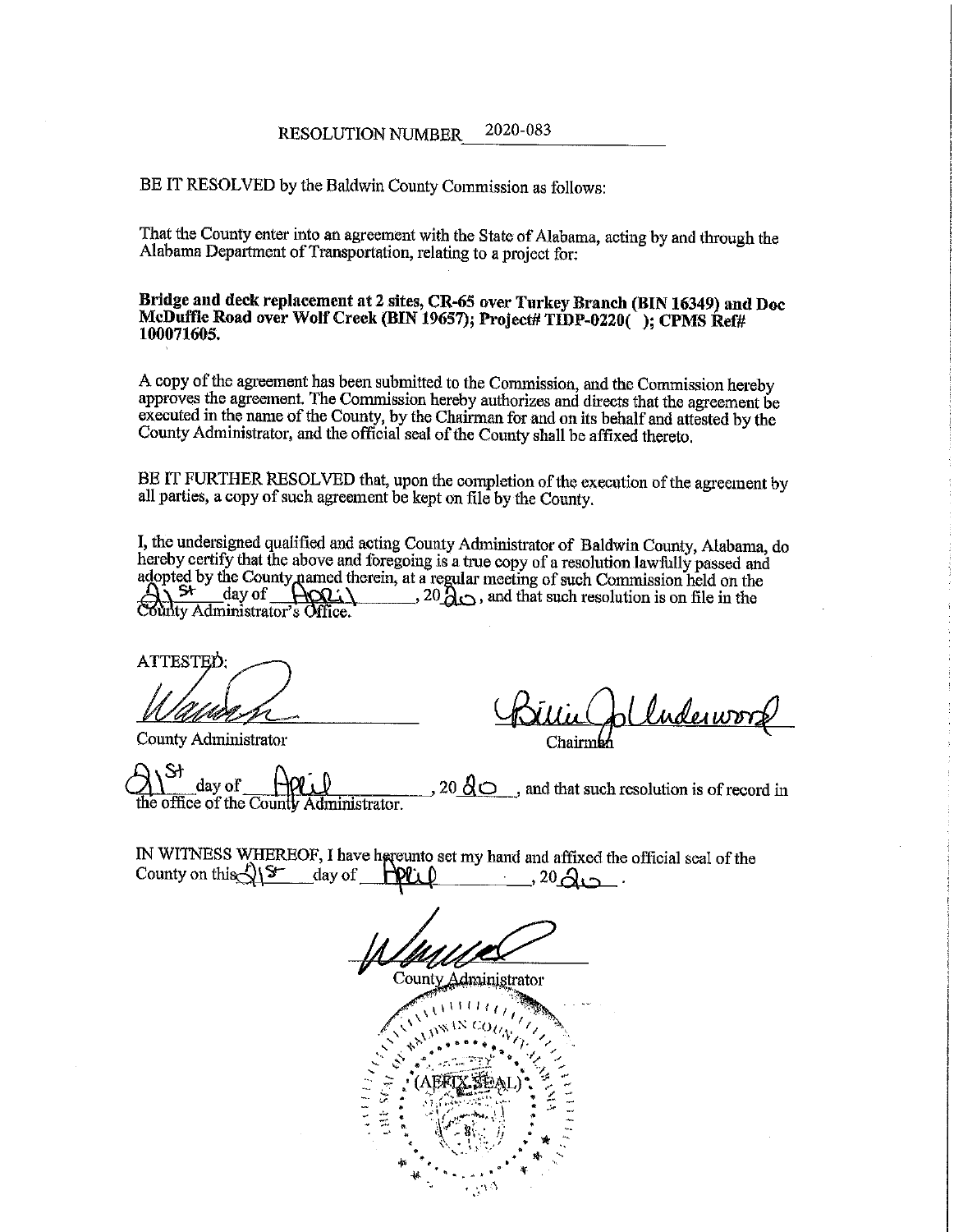BE IT RESOLVED by the Baldwin County Commission as follows:

That the County enter into an agreement with the State of Alabama, acting by and through the Alabama Department of Transportation, relating to a project for:

**Bridge and deck replacement at 2 sites, CR-65 over Turkey Branch (BIN 16349) and Doc McDuffie Road over Wolf Creek (BIN 19657); Project# TIDP-0220(** ); **CPMS Ref# 100071605.** 

A copy of the agreement has been submitted to the Commission, and the Commission hereby approves the agreement. The Commission hereby authorizes and directs that the agreement be executed in the name of the County, by the Chairman for and on its behalf and attested by the County Administrator, and the official seal of the County shall be affixed thereto.

BE IT FURTHER RESOLVED that, upon the completion of the execution of the agreement by all parties, a copy of such agreement be kept on file by the County.

I, the undersigned qualified and acting County Administrator of Baldwin County, Alabama, do hereby certify that the above and foregoing is a true copy of a resolution lawfully passed and adopted by the County named therein, at a regular meeting of such Commission held on the day of  $\mathbb{R}^2$ ,  $\mathbb{R}^2$ , and that such resolution is on file in the  $\mathbb{R}^2$ , and that such resolution is on file in the the Branch County Administrator's Office.

Allestep:<br>Wayne River Billi Colluderwork

Chairm

day of  $\overline{ }$   $\overline{ }$   $\overline{ }$   $\overline{ }$   $\overline{ }$   $\overline{ }$  , 20  $\overline{d}$   $\overline{ }$  , and that such resolution is of record in the office of the Couni

IN WITNESS WHEREOF, I have hereunto set my hand and affixed the official seal of the County on this  $\sqrt{Y}$  day of **·** 

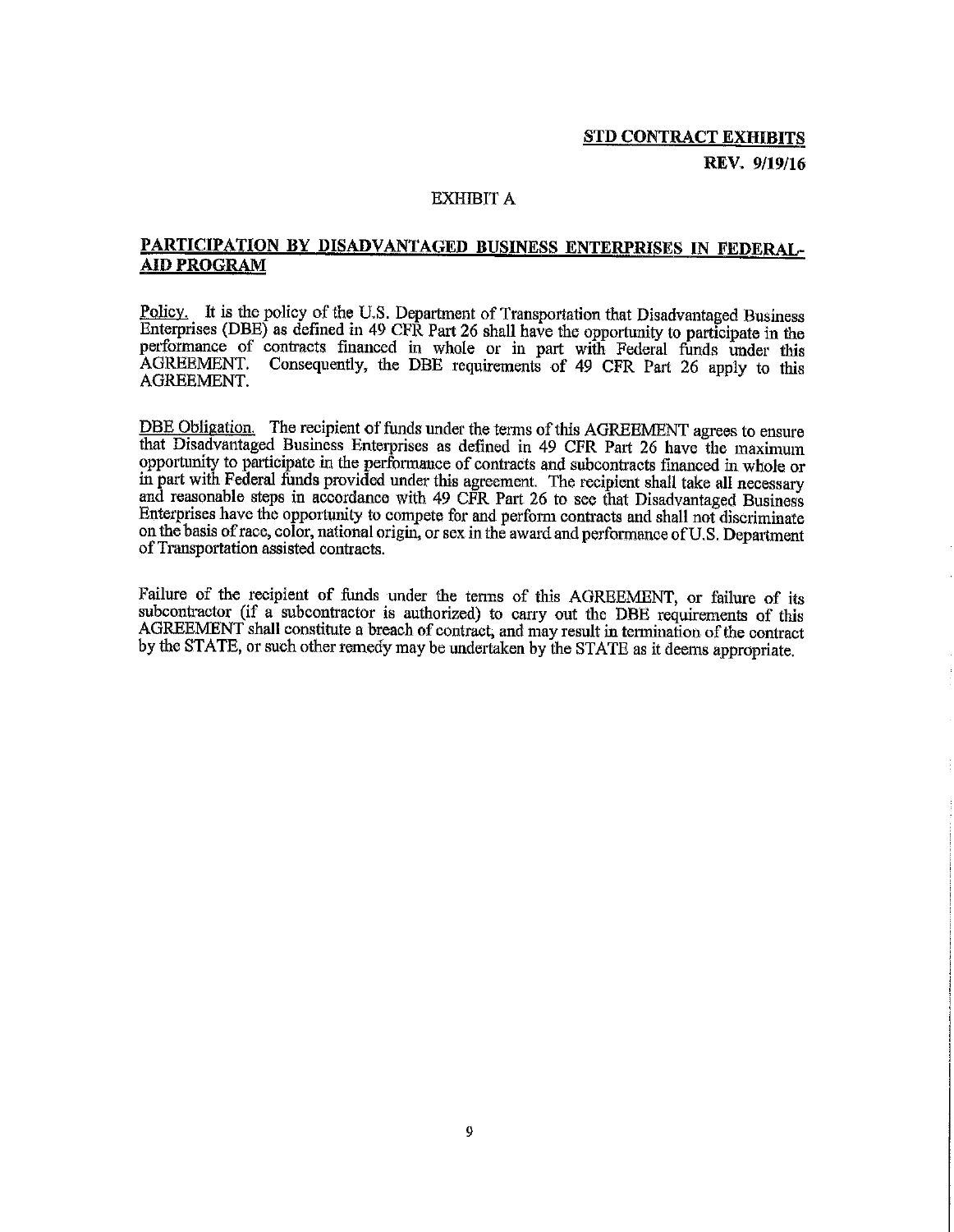## **STD CONTRACT EXHIBITS REV. 9/19/16**

## EXHIBIT A

## **PARTICIPATION BY DISADVANTAGED BUSINESS ENTERPRISES IN FEDERAL-AIDPROGRAM**

Policy. It is the policy of the U.S. Department of Transportation that Disadvantaged Business Enterprises (DBE) as defined in 49 CFR Part 26 shall have the opportunity to participate in the performance of contracts financed in whole or in part with Federal funds under this AGREEMENT. Consequently, the DBE requirements of 49 CFR Part 26 annly to this Consequently, the DBE requirements of 49 CFR Part 26 apply to this AGREEMENT.

DBE Obligation. The recipient of funds under the terms of this AGREEMENT agrees to ensure that Disadvantaged Business Enterprises as defined in 49 CFR Part 26 have the maximum opportunity to participate in the performance of contracts and subcontracts financed in whole or in part with Federal funds provided under this agreement. The recipient shall take all necessary and reasonable steps in accordance with 49 CFR Part 26 to see that Disadvantaged Business Enterprises have the opportunity to compete for and perform contracts and shall not discriminate on the basis of race, color, national origin, or sex in the award and performance of U.S. Department of Transportation assisted contracts.

Failure of the recipient of funds under the terms of this AGREEMENT, or failure of its subcontractor (if a subcontractor is authorized) to carry out the DBE requirements of this AGREEMENT shall constitute a breach of contract, and may result in termination of the contract by the STATE, or such other remedy may be undertaken by the STATE as it deems appropriate.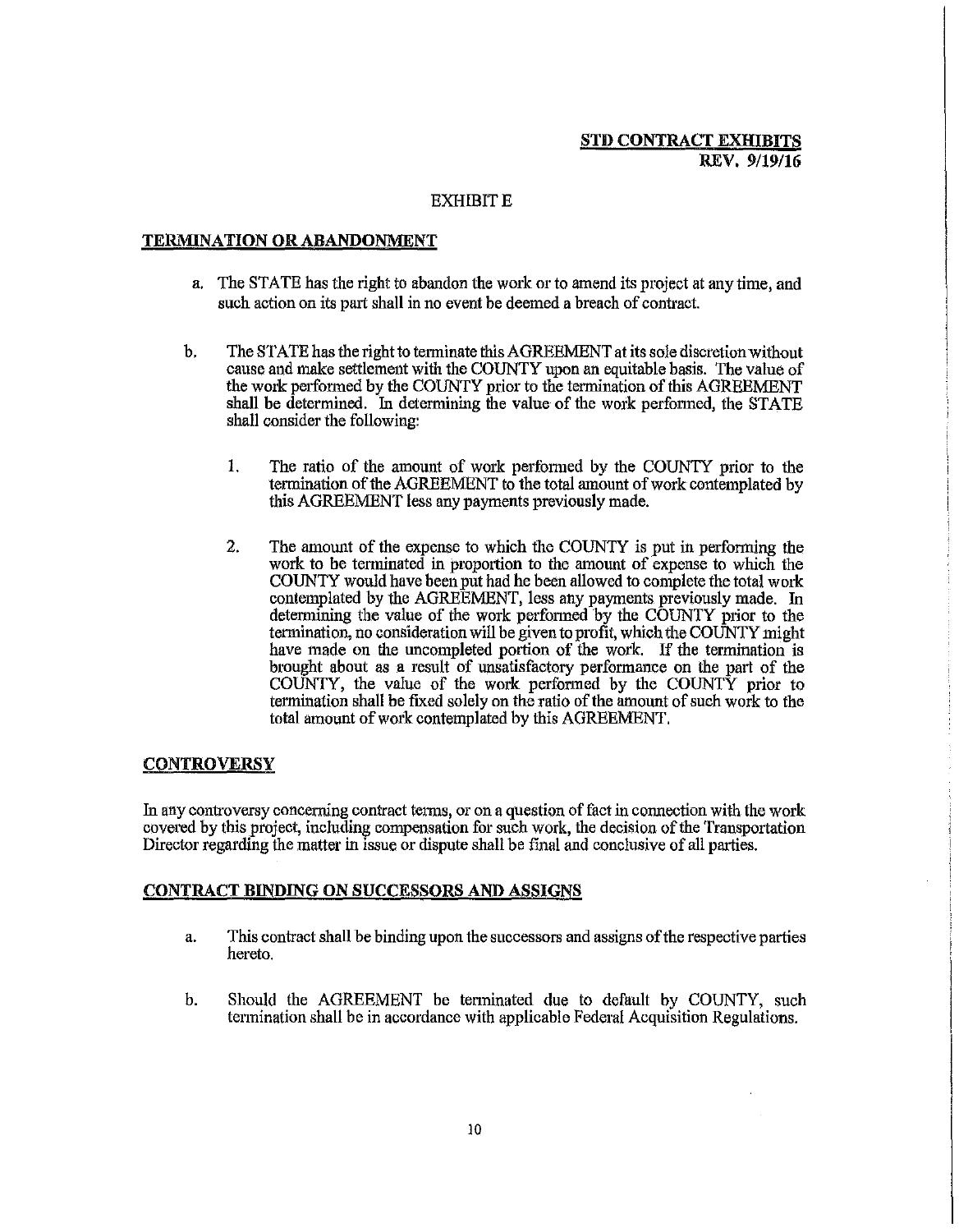## **EXHIBIT E**

#### **TERMINATION OR ABANDONMENT**

- a. The STATE has the right to abandon the work or to amend its project at any time, and such action on its part shall in no event be deemed a breach of contract.
- b, The STATE has the right to terminate this AGREEMENT at its sole discretion without cause and make settlement with the COUNTY upon an equitable basis. The value of the work performed by the COUNTY prior to the termination of this AGREEMENT shall be determined. In determining the value of the work performed, the STATE shall consider the following:
	- 1. The ratio of the amount of work performed by the COUNTY prior to the termination of the AGREEMENT to the total amount of work contemplated by this AGREEMENT less any payments previously made.
	- 2. The amount of the expense to which the COUNTY is put in performing the work to be terminated in proportion to the amount of expense to which the COUNTY would have been put had he been allowed to complete the total work contemplated by the AGREEMENT, less any payments previously made. In determining the value of the work performed by the COUNTY prior to the termination, no consideration will be given to profit, which the COUNTY might have made on the uncompleted portion of the work. If the termination is brought about as a result of unsatisfactory performance on the part of the COUNTY, the value of the work performed by the COUNTY prior to termination shall be fixed solely on the ratio of the amount of such work to the total amount of work contemplated by this AGREEMENT.

#### **CONTROVERSY**

In any controversy concerning contract tenns, or on a question of fact in connection with the work covered by this project, including compensation for such work, the decision of the Transportation Director regarding the matter in issue or dispute shall be final and conclusive of all parties.

#### **CONTRACT BINDING ON SUCCESSORS AND ASSIGNS**

- a. This contract shall be binding upon the successors and assigns of the respective parties hereto.
- b. Should the AGREEMENT be tenninated due to default by COUNTY, such tennination shall be in accordance with applicable Federal Acquisition Regulations.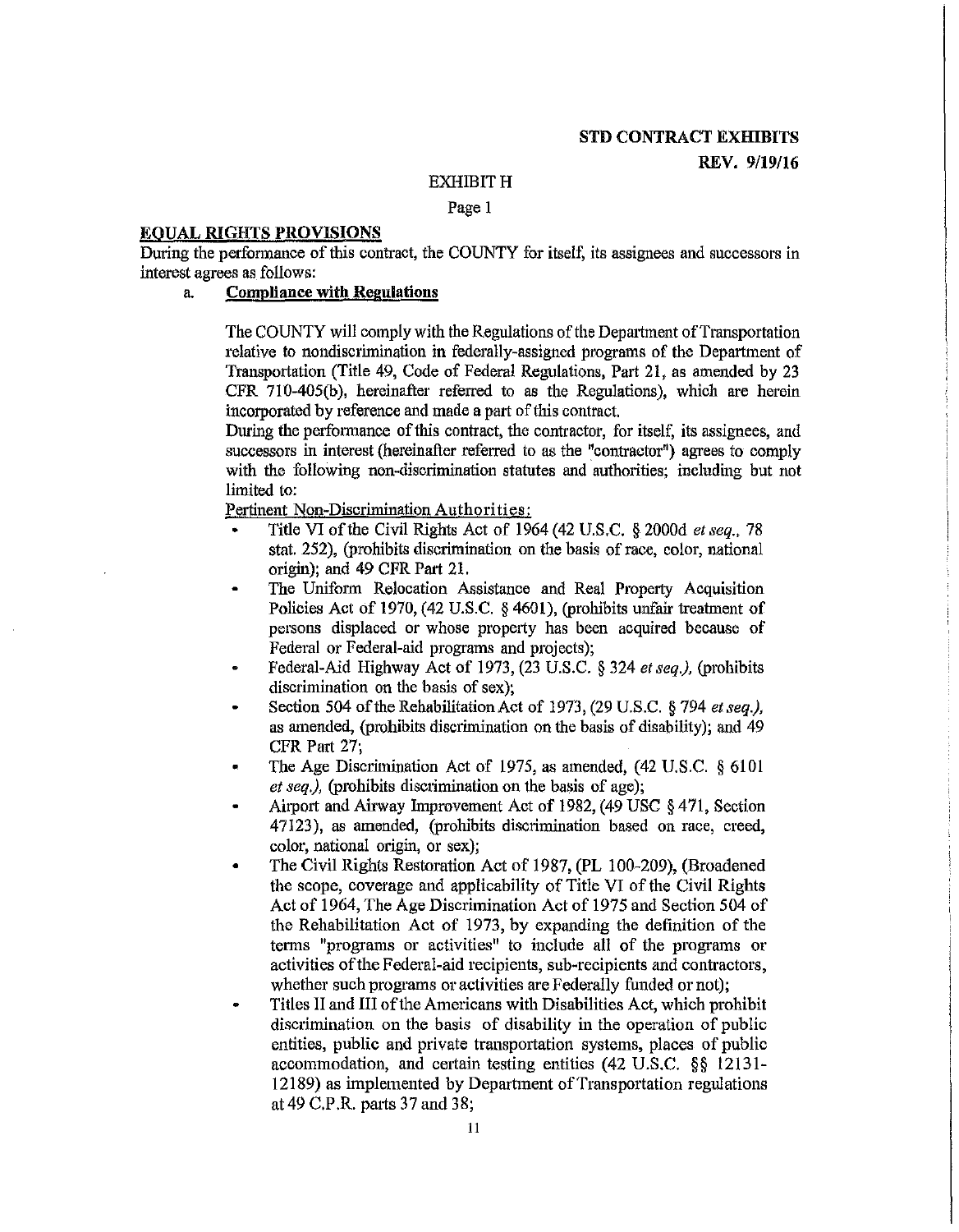## EXHIBIT H

Page 1

#### **EQUAL RIGHTS PROVISIONS**

During the performance of this contract, the COUNTY for itself, its assignees and successors in interest agrees as follows:

#### a. **Compliance with Regulations**

The COUNTY will comply with the Regulations of the Department of Transportation relative to nondiscrimination in federally-assigned programs of the Department of Transportation (Title 49, Code of Federal Regulations, Part 21, as amended by 23 CFR 710-405(b), hereinafter referred to as the Regulations), which are herein incorporated by reference and made a part of this contract.

During the performance of this contract, the contractor, for itself, its assignees, and successors in interest (hereinafter referred to as the "contractor") agrees to comply with the following non-discrimination statutes and authorities; including but not limited to:

Pertinent Non-Discrimination Authorities:

- Title VI of the Civil Rights Act of 1964 (42 U.S.C. § 2000d *et seq.,* 78 stat. 252), (prohibits discrimination on the basis of race, color, national origin); and 49 CFR Part 21.
- The Uniform Relocation Assistance and Real Property Acquisition Policies Act of 1970, (42 U.S.C. § 4601), (prohibits unfair treatment of persons displaced or whose property has been acquired because of Federal or Federal-aid programs and projects);
- Federal-Aid Highway Act of 1973, (23 U.S.C. § 324 *et seq.),* (prohibits discrimination on the basis of sex);
- Section 504 of the Rehabilitation Act of 1973, (29 U.S.C. § 794 *et seq.),*  as amended, (prohibits discrimination on the basis of disability); and 49 CFR Part 27;
- The Age Discrimination Act of 1975, as amended, (42 U.S.C. § 6101 *et seq.),* (prohibits discrimination on the basis of age);
- Airport and Airway Improvement Act of 1982, (49 USC § 471, Section 47123 ), as amended, (prohibits discrimination based on race, creed, color, national origin, or sex);
- The Civil Rights Restoration Act of 1987, (PL 100-209), (Broadened the scope, coverage and applicability of Title VI of the Civil Rights Act of 1964, The Age Discrimination Act of 1975 and Section 504 of the Rehabilitation Act of 1973, by expanding the definition of the terms "programs or activities" to include all of the programs or activities of the Federal-aid recipients, sub-recipients and contractors, whether such programs or activities are Federally funded or not);
- Titles II and III of the Americans with Disabilities Act, which prohibit discrimination on the basis of disability in the operation of public entities, public and private transportation systems, places of public accommodation, and certain testing entities (42 U.S.C. §§ l2131- 12189) as implemented by Department of Transportation regulations at 49 C.P.R. parts 37 and 38;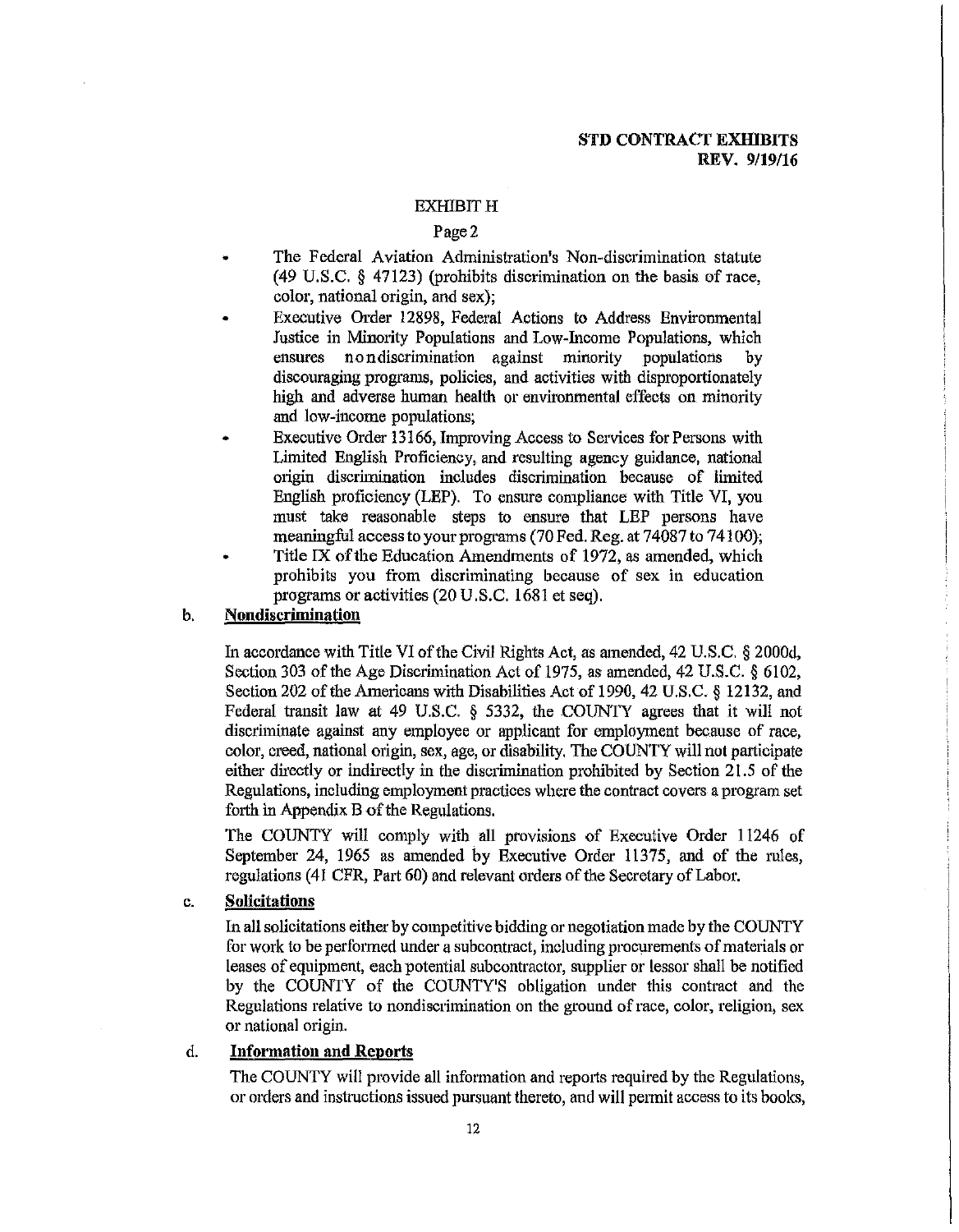#### **EXHIBIT H**

### Page2

- The Federal Aviation Administration's Non-discrimination statute (49 U.S.C.  $\S$  47123) (prohibits discrimination on the basis of race, color, national origin, and sex);
- Executive Order 12898, Federal Actions to Address Environmental Justice in Minority Populations and Low-Income Populations, which ensures nondiscrimination against minority populations by discouraging programs, policies, and activities with disproportionately high and adverse human health or environmental effects on minority and low-income populations;
- Executive Order 13166, Improving Access to Services for Persons with Limited English Proficiency, and resulting agency guidance, national origin discrimination includes discrimination because of limited English proficiency (LEP). To ensure compliance with Title VI, you must take reasonable steps to ensure that LEP persons have meaningful access to your programs (70 Fed. Reg. at 74087 to 74100);
- Title IX of the Education Amendments of 1972, as amended, which prohibits you from discriminating because of sex in education programs or activities (20 U .S.C. 1681 et seq).

## b, **Nondiscrimination**

In accordance with Title VI of the Civil Rights Act, as amended, 42 U.S.C, § 2000d, Section 303 of the Age Discrimination Act of 1975, as amended, 42 U.S.C. § 6102, Section 202 of the Americans with Disabilities Act of 1990, 42 U,S.C. § 12132, and Federal transit law at 49 U.S.C.  $\S$  5332, the COUNTY agrees that it will not discriminate against any employee or applicant for employment because of race, color, creed, national origin, sex, age, or disability, The COUNTY will not participate either directly or indirectly in the discrimination prohibited by Section 21.5 of the Regulations, including employment practices where the contract covers a program set forth in Appendix  $B$  of the Regulations.

The COUNTY will comply with all provisions of Executive Order 11246 of September 24, 1965 as amended by Executive Order 11375, and of the rules, regulations (41 CFR, Part 60) and relevant orders of the Secretary of Labor.

#### c. **Solicitations**

In all solicitations either by competitive bidding or negotiation made by the COUNTY for work to be performed under a subcontract, including procurements of materials or leases of equipment, each potential subcontractor, supplier or lessor shall be notified by the COUNTY of the COUNTY'S obligation under this contract and the Regulations relative to nondiscrimination on the ground of race, color, religion, sex or national origin.

## d. **Information and Reports**

The COUNTY will provide all information and reports required by the Regulations, or orders and instructions issued pursuant thereto, and will permit access to its books,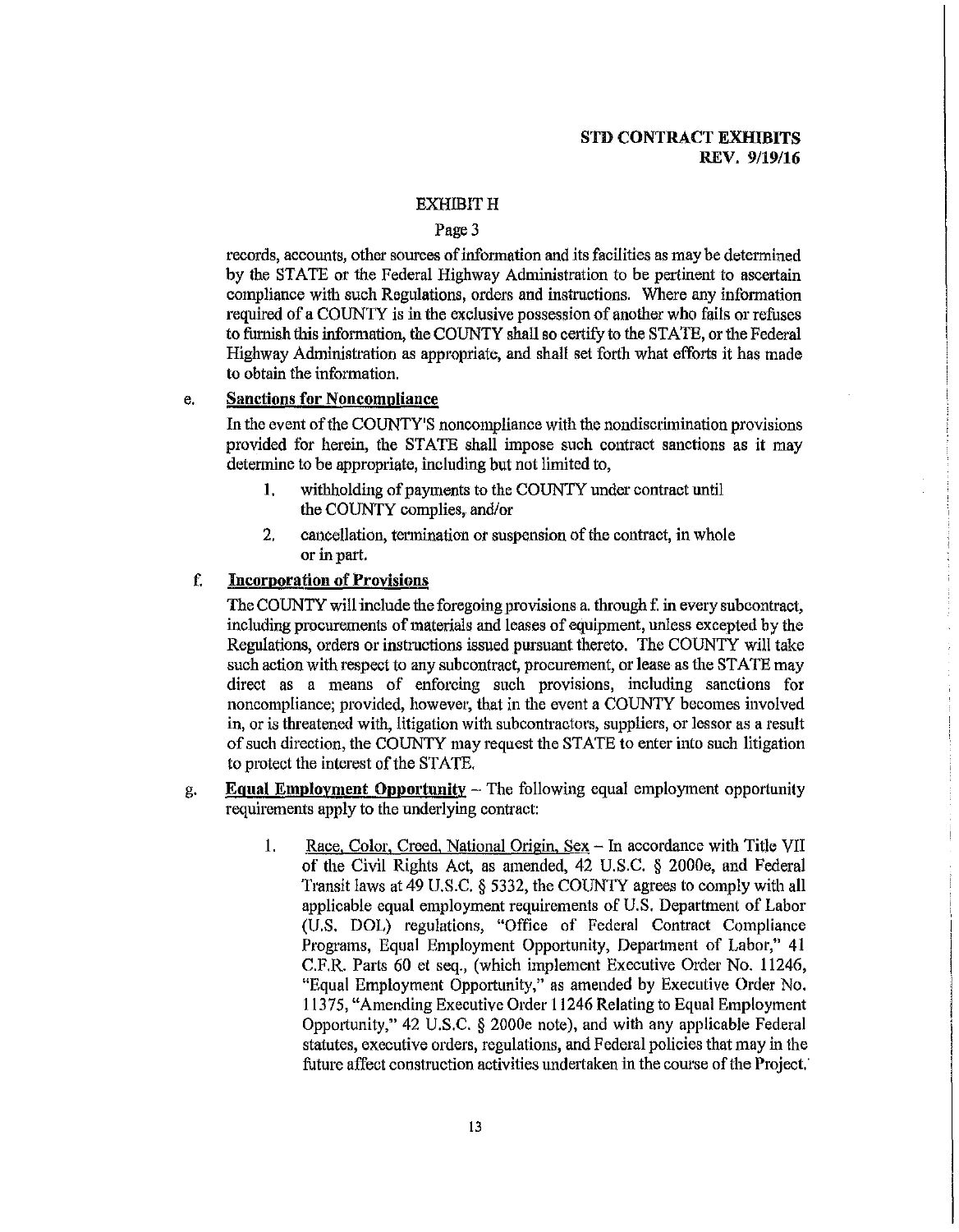### **EXHIBITH**

#### Page 3

records, accounts, other sources of information and its facilities as may be determined by the STATE or the Federal Highway Administration to be pertinent to ascertain compliance with such Regulations, orders and instructions. Where any information required of a COUNTY is in the exclusive possession of another who fails or refuses to furnish this information, the COUNTY shall so certify to the STATE, or the Federal Highway Administration as appropriate, and shall set forth what efforts it has made to obtain the information.

#### e. **Sanctions for Noncompliance**

In the event of the COUNTY'S noncompliance with the nondiscrimination provisions provided for herein, the STATE shall impose such contract sanctions as it may determine to be appropriate, including but not limited to,

- I. withholding of payments to the COUNTY under contract until the COUNTY complies, and/or
- 2. cancellation, termination or suspension of the contract, in whole or in part.

#### f. **Incorporation** of **Provisions**

The COUNTY will include the foregoing provisions a. through f. in every subcontract, including procurements of materials and leases of equipment, unless excepted by the Regulations, orders or instructions issued pursuant thereto. The COUNTY will take such action with respect to any subcontract, procurement, or lease as the STATE may direct as a means of enforcing such provisions, including sanctions for noncompliance; provided, however, that in the event a COUNTY becomes involved in, or is threatened with, litigation with subcontractors, suppliers, or lessor as a result of such direction, the COUNTY may request the STATE to enter into snch litigation to protect the interest of the STATE.

- g. **Equal Employment Opportunity**  The following equal employment opportunity requirements apply to the underlying contract:
	- 1. Race, Color, Creed, National Origin, Sex In accordance with Title VII of the Civil Rights Act, as amended, 42 U.S.C. § 2000e, and Federal Transit laws at 49 U.S.C. § 5332, the COUNTY agrees to comply with all applicable equal employment requirements of U.S. Department of Labor (U.S. DOL) regulations, "Office of Federal Contract Compliance Programs, Equal Employment Opportunity, Department of Labor," 41 C.F.R. Parts 60 et seq., (which implement Executive Order No. 11246, "Equal Employment Opportunity," as amended by Executive Order No. 11375, "Amending Executive Order I 1246 Relating to Equal Employment Opportunity," 42 U.S.C. § 2000e note), and with any applicable Federal statutes, executive orders, regulations, and Federal policies that may in the future affect construction activities undertaken in the course of the Project.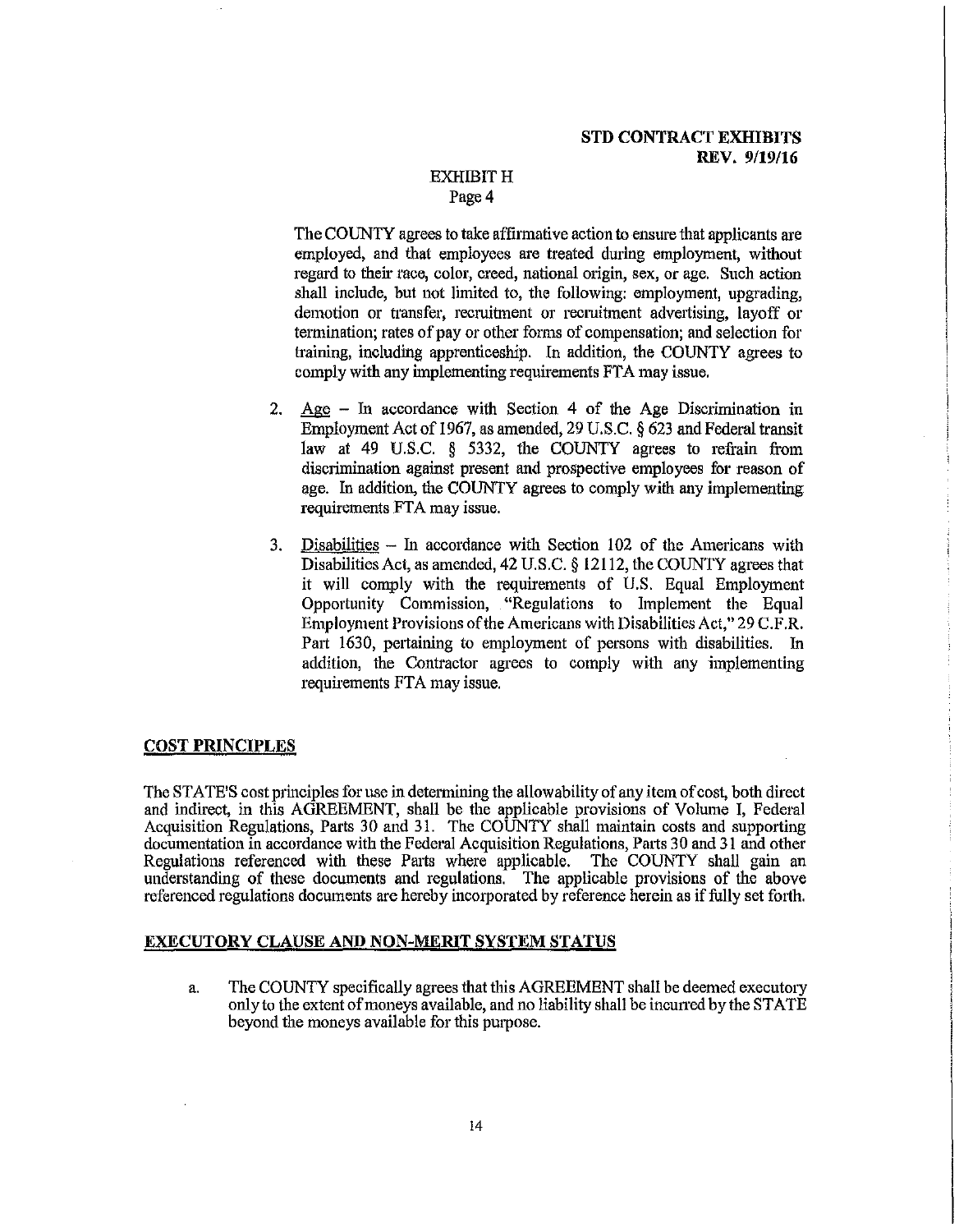#### **EXHIBIT H** Page 4

The COUNTY agrees to take affirmative action to ensure that applicants are employed, and that employees are treated during employment, without regard to their race, color, creed, national origin, sex, or age, Such action shall include, but not limited to, the following: employment, upgrading, demotion or transfer, recruitment or recruitment advertising, layoff or termination; rates of pay or other forms of compensation; and selection for training, including apprenticeship. In addition, the COUNTY agrees to comply with any implementing requirements FTA may issue,

- 2. Age In accordance with Section 4 of the Age Discrimination in Employment Act of 1967, as amended, 29 U.S.C. § 623 and Federal transit law at 49 U.S.C, § 5332, the COUNTY agrees to refrain from discrimination against present and prospective employees for reason of age, In addition, the COUNTY agrees to comply with any implementing requirements FTA may issue.
- 3. Disabilities In accordance with Section 102 of the Americans with Disabilities Act, as amended, 42 U.S.C. § 12112, the COUNTY agrees that it will comply with the requirements of U.S. Equal Employment Opportunity Commission, "Regulations to Implement the Equal Employment Provisions of the Americans with Disabilities Act," 29 C.F.R. Part 1630, pertaining to employment of persons with disabilities. In addition, the Contractor agrees to comply with any implementing requirements FTA may issue,

#### **COST PRINCIPLES**

The STATE'S cost principles for use in determining the allow ability of any item of cost, both direct and indirect, in this AGREEMENT, shall be the applicable provisions of Volume I, Federal Acquisition Regulations, Parts 30 and 31. The COUNTY shall maintain costs and supporting documentation in accordance with the Federal Acquisition Regulations, Patts 30 and 31 and other Regulations referenced with these Parts where applicable. The COUNTY shall gain an understanding of these documents and regulations. The applicable provisions of the above referenced regulations documents are hereby incorporated by reference herein as if fully set forth.

#### **EXECUTORY CLAUSE AND NON-MERIT SYSTEM STATUS**

a. The COUNTY specifically agrees that this AGREEMENT shall be deemed executory only to the extent of moneys available, and no liability shall be incurred by the STATE beyond the moneys available for this purpose,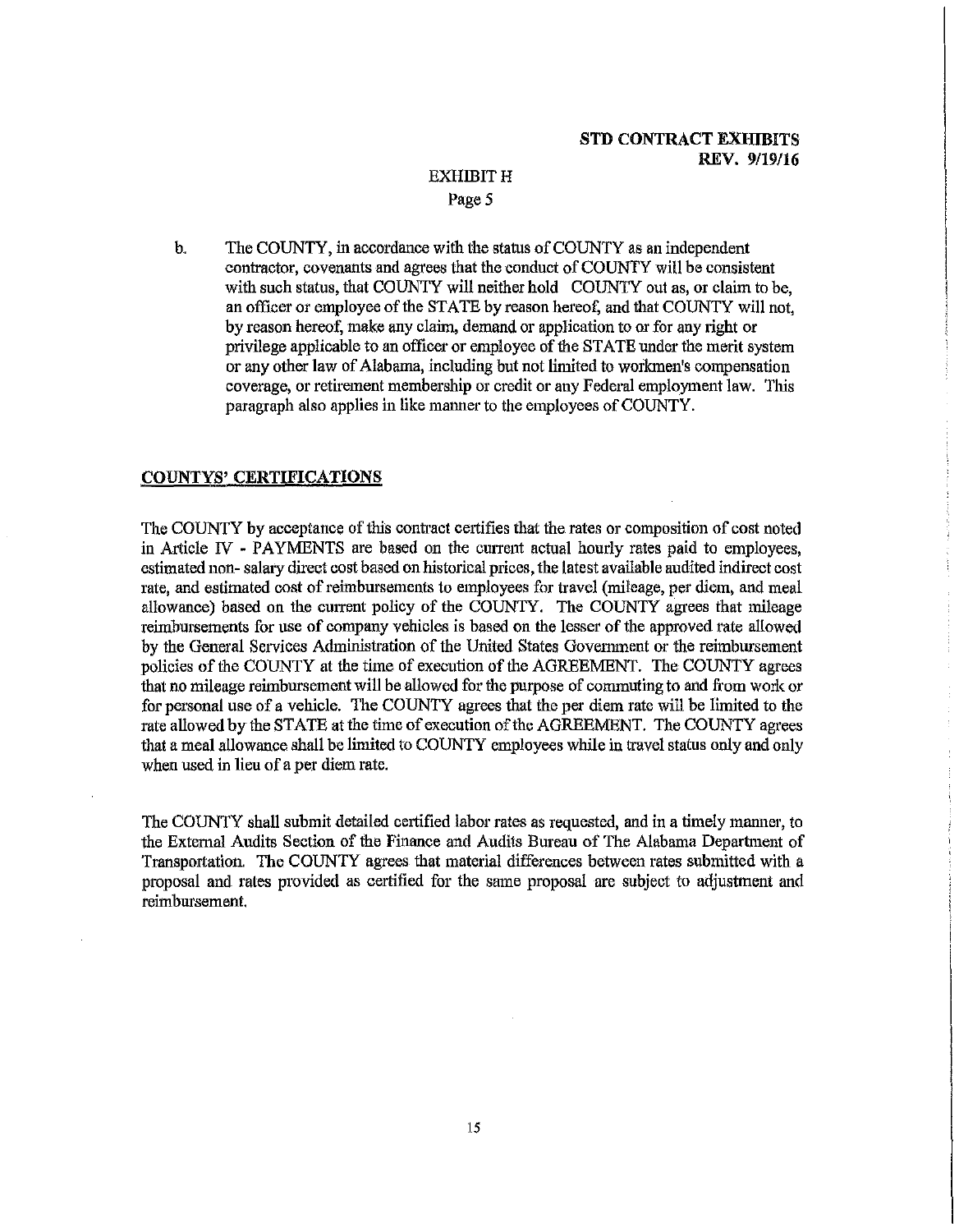## **EXHIBITH** Page 5

b. The COUNTY, in accordance with the status of COUNTY as an independent contractor, covenants and agrees that the conduct of COUNTY will be consistent with such status, that COUNTY will neither hold COUNTY out as, or claim to be, an officer or employee of the STATE by reason hereof, and that COUNTY will not, by reason hereof, make any claim, demand or application to or for any right or privilege applicable to an officer or employee of the STATE under the merit system or any other law of Alabama, including but not limited to workmen's compensation coverage, or retirement membership or credit or any Federal employment law. This paragraph also applies in like manner to the employees of COUNTY.

#### **COUNTY\$' CERTIFICATIONS**

The COUNTY by acceptance of this contract certifies that the rates or composition of cost noted in Article IV - PAYMENTS are based on the current actual hourly rates paid to employees, estimated non- salary direct cost based on historical prices, the latest available audited indirect cost rate, and estimated cost of reimbursements to employees for travel (mileage, per diem, and meal allowance) based on the current policy of the COUNTY. The COUNTY agrees that mileage reimbursements for use of company vehicles is based on the lesser of the approved rate allowed by the General Services Administration of the United States Govemment or the reimbursement policies of the COUNTY at the time of execution of the AGREEMENT. The COUNTY agrees that no mileage reimbursement will be allowed for the purpose of commuting to and from work or for personal use of a vehicle. The COUNTY agrees that the per diem rate will be limited to the rate allowed by the STATE at the time of execution of the AGREEMENT. The COUNTY agrees that a meal allowance shall be limited to COUNTY employees while in travel status only and only when used in lieu of a per diem rate.

The COUNTY shall submit detailed certified labor rates as requested, and in a timely manner, to the External Audits Section of the Finance and Audits Bureau of The Alabama Department of Transportation. The COUNTY agrees that material differences between rates submitted with a proposal and rates provided as certified for the same proposal are subject to adjustment and reimbursement.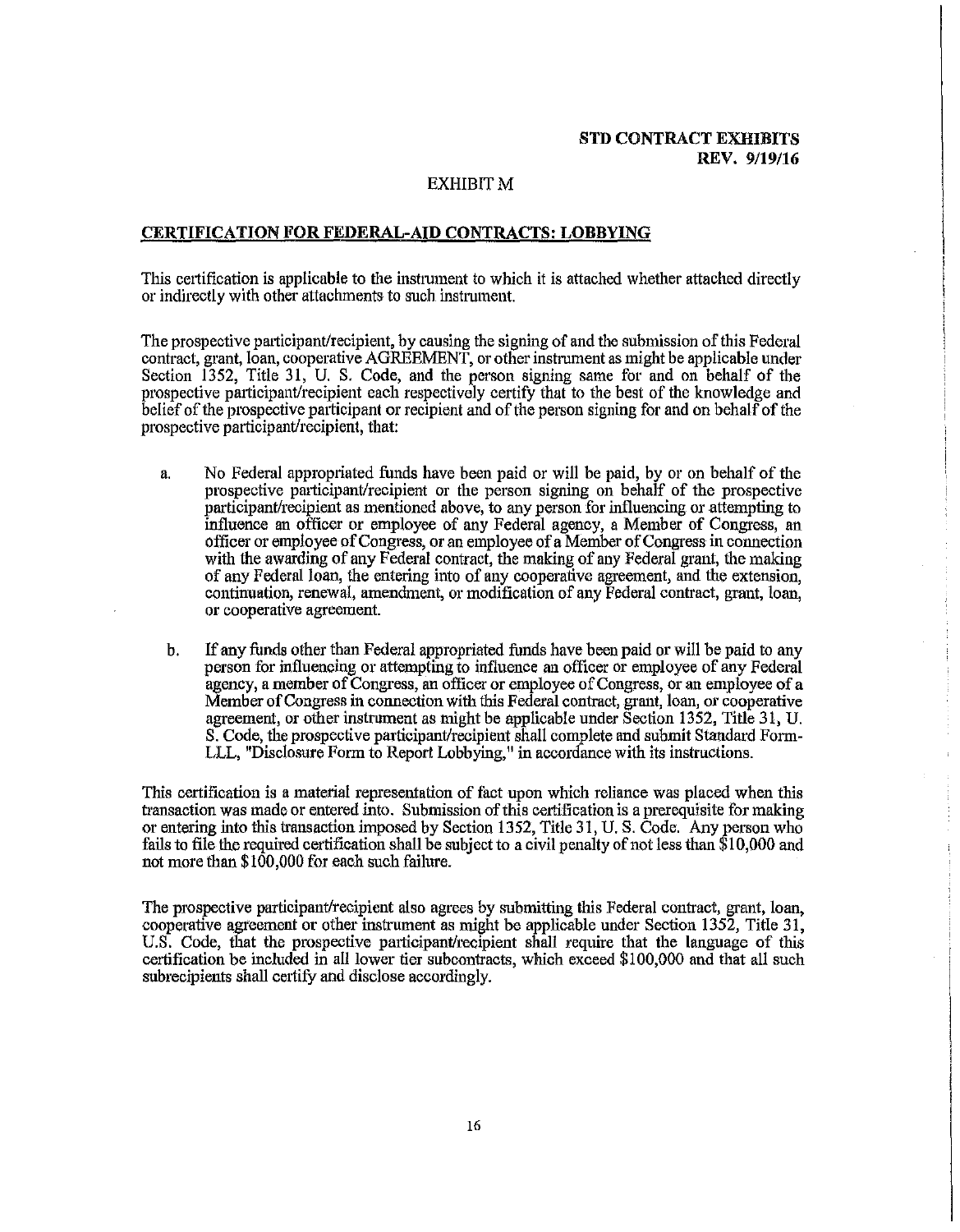#### **EXHIBIT M**

#### **CERTIFICATION FOR FEDERAL-AID CONTRACTS: LOBBYING**

This certification is applicable to the instrument to which it is attached whether attached directly or indirectly with other attachments to such instrument.

The prospective participant/recipient, by causing the signing of and the submission of this Federal contract, grant, loan, cooperative AGREEMENT, or other instrument as might be applicable under Section 1352, Title 31, U. S. Code, and the person signing same for and on behalf of the prospective participant/recipient each respectively certify that to the best of the knowledge and belief of the prospective participant or recipient and of the person signing for and on behalf of the prospective participant/recipient, that:

- a. No Federal appropriated funds have been paid or will be paid, by or on behalf of the prospective participant/recipient or the person signing on behalf of the prospective participant/recipient as mentioned above, to any person for inflnencing or attempting to influence an officer or employee of any Federal agency, a Member of Congress, an officer or employee of Congress, or an employee of a Member of Congress in connection with the awarding of any Federal contract, the making of any Federal grant, the making of any Federal loan, the entering into of any cooperative agreement, and the extension, continuation, renewal, amendment, or modification of any Federal contract, grant, loan, or cooperative agreement.
- b. If any funds other than Federal appropriated funds have been paid or will be paid to any person for influencing or attempting to influence an officer or employee of any Federal agency, a member of Congress, an officer or employee of Congress, or an employee of **a**  Member of Congress in connection with this Federal contract, grant, loan, or cooperative agreement, or other instrument as might be applicable under Section 1352, Title 31, U. S. Code, the prospective participant/recipient shall complete and submit Standard Form-LLL, "Disclosure Form to Report Lobbying," in accordance with its instructions.

This certification is a material representation of fact upon which reliance was placed when this transaction was made or entered into. Submission of this certification is a prerequisite for making or entering into this transaction imposed by Section 1352, Title 31, U.S. Code. Any person who fails to file the required certification shall be subject to a civil penalty of not less than \$10,000 and not more than \$100,000 for each such failure.

The prospective participant/recipient also agrees by submitting this Federal contract, grant, loan, cooperative agreement or other instrument as might be applicable under Section 1352, Title 31, U.S. Code, that the prospective participant/recipient shall require that the language of this certification be included in all lower tier subcontracts, which exceed \$100,000 and that all such subrecipients shall certify and disclose accordingly.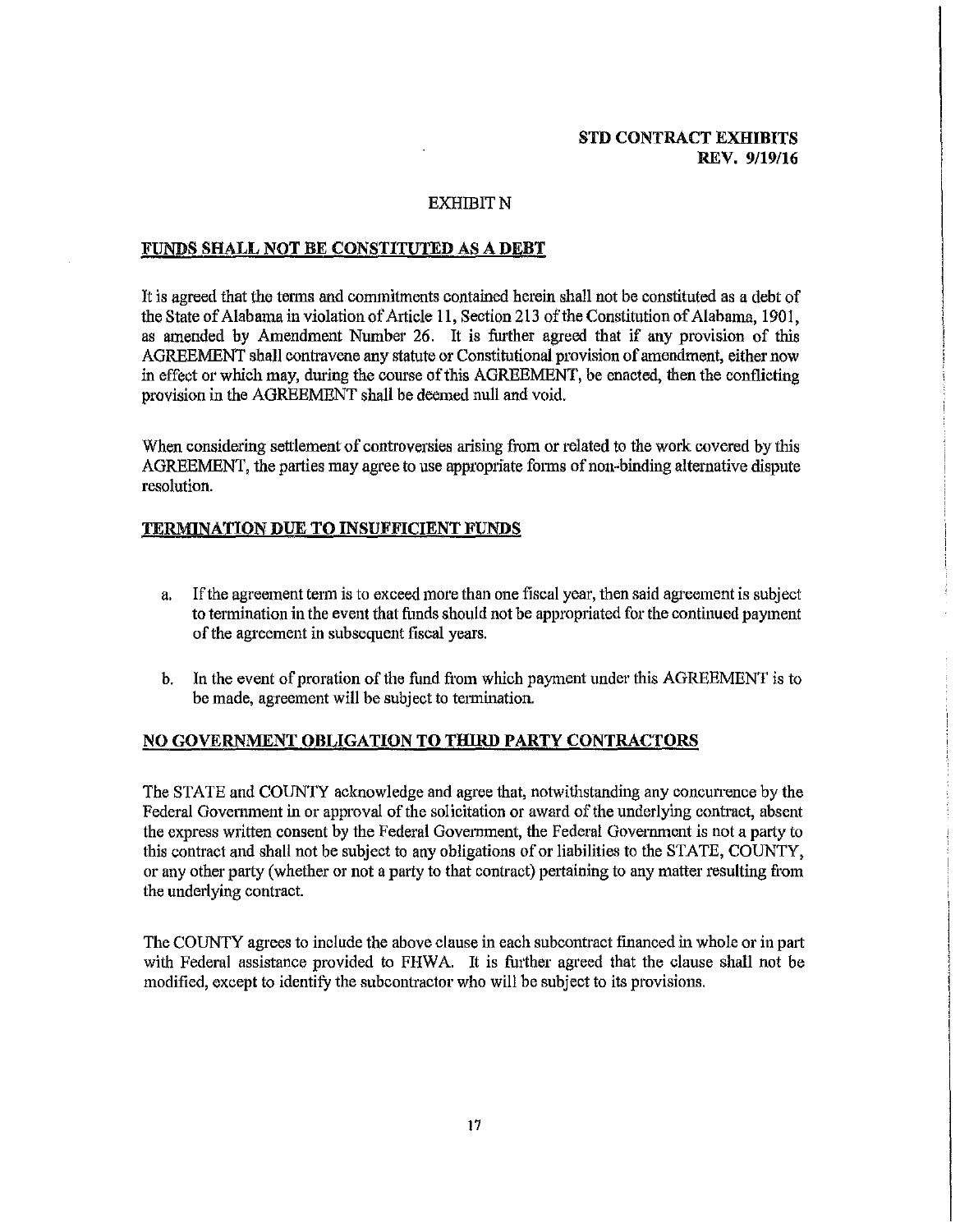### **EXHIBIT N**

### **FUNDS SHALL NOT BE CONSTITUTED AS A DEBT**

It is agreed that the tenns and commitments contained herein shall not be constituted as a debt of the State of Alabama in violation of Aiticle II, Section 213 of the Constitution of Alabama, 1901, as amended by Amendment Number 26. It is further agreed that if any provision of this AGREEMENT shall contravene any statute or Constitutional provision of amendment, either now in effect or which may, during the course of this AGREEMENT, be enacted, then the conflicting provision in the AGREEMENT shall be deemed null and void.

When considering settlement of controversies arising from or related to the work covered by this AGREEMENT, the parties may agree to use appropriate forms of non-binding alternative dispute resolution.

#### **TERMINATION DUE TO INSUFFICIENT FUNDS**

- a. If the agreement term is to exceed more than one fiscal year, then said agreement is subject to termination in the event that funds should not be appropriated for the continued payment of the agreement in subsequent fiscal years.
- b. In the event of proration of the fund from which payment under this AGREEMENT is to be made, agreement will be subject to termination.

#### **NO GOVERNMENT OBLIGATION TO THIRD PARTY CONTRACTORS**

The STATE and COUNTY acknowledge and agree that, notwithstanding any concurrence by the Federal Government in or approval of the solicitation or award of the underlying contract, absent the express written consent by the Federal Government, the Federal Government is not a party to this contract and shall not be subject to any obligations of or liabilities to the STATE, COUNTY, or any other party (whether or not a party to that contract) pertaining to any matter resulting from the underlying contract.

The COUNTY agrees to include the above clause in each subcontract financed in whole or in patt with Federal assistance provided to FHWA. It is further agreed that the clause shall not be modified, except to identify the subcontractor who will be subject to its provisions.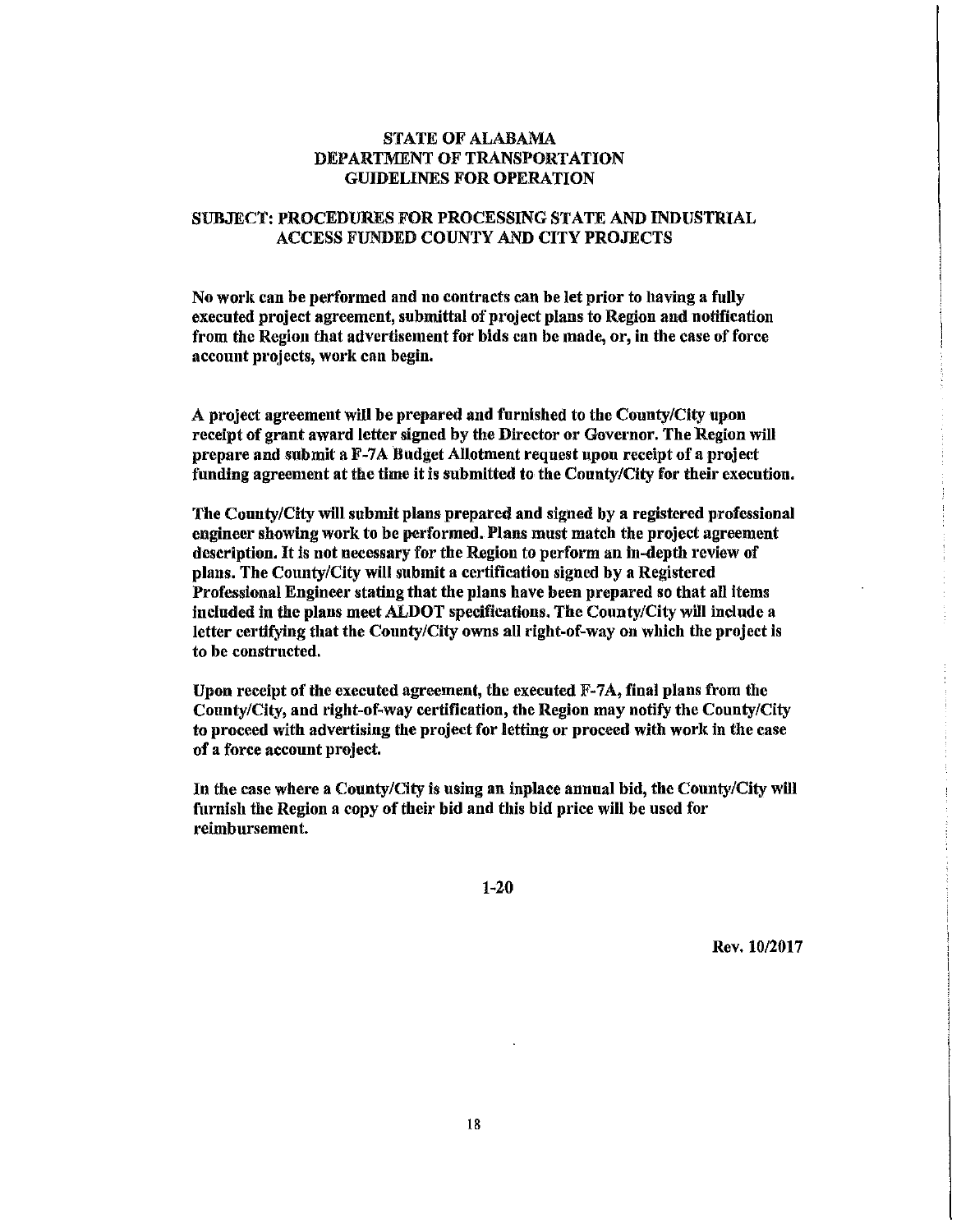## STATE OF ALABAMA DEPARTMENT OF TRANSPORTATION GUIDELINES FOR OPERATION

## SUBJECT: PROCEDURES FOR PROCESSING STATE AND INDUSTRIAL ACCESS FUNDED COUNTY AND CITY PROJECTS

No work can be performed and no contracts can be let prior to having a fully executed project agreement, submittal of project plans to Region and notification from the Region that advertisement for bids can be made, or, in the case of force account projects, work can begin.

A project agreement will be prepared and furnished to the County/City upon receipt of grant award letter signed by the Director or Governor. The Region will prepare and submit a F-7A Budget Allotment request upon receipt of a project funding agreement at the time it is submitted to the County/City for their execution.

The County/City will submit plans prepared and signed by a registered professional engineer showing work to be performed. Plans must match the project agreement description. It is not necessary for the Region to perform an in-depth review of plans. The County/City will submit a certification signed by a Registered Professional Engineer stating that the plans have been prepared so that all items included in the plans meet ALDOT specifications. The County/City will include a letter certifying that the County/City owns all right-of-way on which the project is to be constructed.

Upon receipt of the executed agreement, the executed F-7A, final plans from the County/City, and right-of-way certification, the Region may notify the County/City to proceed with advertising the project for letting or proceed with work in the case of a force account project.

In the case where a Connty/City is using an inplace annual bid, the County/City will furnish the Region a copy of their bid and this bid price will be used for reimbursement.

1-20

Rev. 10/2017